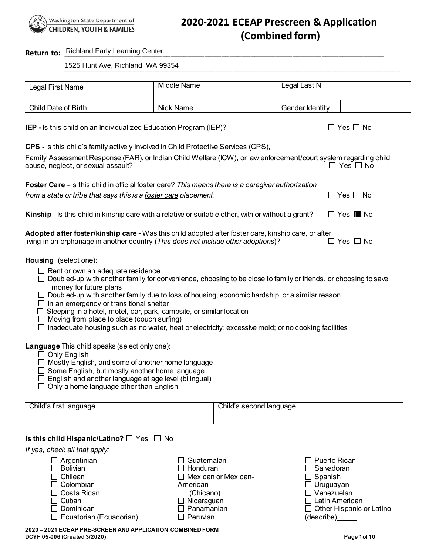

# **2020-2021 ECEAP Prescreen & Application (Combined form)**

# **Return to:** \_\_\_\_\_\_\_\_\_\_\_\_\_\_\_\_\_\_\_\_\_\_\_\_\_\_\_\_\_\_\_\_\_\_\_\_\_\_\_\_\_\_\_\_\_\_\_\_\_\_\_\_\_\_\_\_\_\_\_\_\_\_\_\_\_\_\_\_\_\_\_\_\_\_\_\_\_ Richland Early Learning Center

\_\_\_\_\_\_\_\_\_\_\_\_\_\_\_\_\_\_\_\_\_\_\_\_\_\_\_\_\_\_\_\_\_\_\_\_\_\_\_\_\_\_\_\_\_\_\_\_\_\_\_\_\_\_\_\_\_\_\_\_\_\_\_\_\_\_\_\_\_\_\_\_\_\_\_\_\_\_\_\_\_ 1525 Hunt Ave, Richland, WA 99354

| Legal First Name    | Middle Name | Legal Last N    |  |
|---------------------|-------------|-----------------|--|
| Child Date of Birth | Nick Name   | Gender Identity |  |

**IEP** - Is this child on an Individualized Education Program (IEP)?  $\square$  Yes  $\square$  No

**CPS -** Is this child's family actively involved in Child Protective Services (CPS),

| Family Assessment Response (FAR), or Indian Child Welfare (ICW), or law enforcement/court system regarding child |                      |
|------------------------------------------------------------------------------------------------------------------|----------------------|
| abuse, neglect, or sexual assault?                                                                               | $\Box$ Yes $\Box$ No |
|                                                                                                                  |                      |

| <b>Foster Care</b> - Is this child in official foster care? This means there is a caregiver authorization |                              |
|-----------------------------------------------------------------------------------------------------------|------------------------------|
| from a state or tribe that says this is a foster care placement.                                          | $\Box$ Yes $\Box$ No         |
| Kinship - Is this child in kinship care with a relative or suitable other, with or without a grant?       | $\Box$ Yes $\blacksquare$ No |
|                                                                                                           |                              |

| Adopted after foster/kinship care - Was this child adopted after foster care, kinship care, or after |                      |
|------------------------------------------------------------------------------------------------------|----------------------|
| living in an orphanage in another country (This does not include other adoptions)?                   | $\Box$ Yes $\Box$ No |

**Housing** (select one):

- $\Box$  Rent or own an adequate residence
- $\Box$  Doubled-up with another family for convenience, choosing to be close to family or friends, or choosing to save money for future plans
- $\Box$  Doubled-up with another family due to loss of housing, economic hardship, or a similar reason
- $\Box$  In an emergency or transitional shelter
- $\Box$  Sleeping in a hotel, motel, car, park, campsite, or similar location
- $\Box$  Moving from place to place (couch surfing)
- $\Box$  Inadequate housing such as no water, heat or electricity; excessive mold; or no cooking facilities

**Language** This child speaks (select only one):

- $\Box$  Only English
- $\Box$  Mostly English, and some of another home language
- $\square$  Some English, but mostly another home language
- $\Box$  English and another language at age level (bilingual)
- $\Box$  Only a home language other than English

| Child's first language | Child's second language |
|------------------------|-------------------------|
|                        |                         |

#### **Is this child Hispanic/Latino?** □ Yes □ No

*If yes, check all that apply:* 

| $\Box$ Argentinian             | $\Box$ Guatemalan          | $\Box$ Puerto Rican             |
|--------------------------------|----------------------------|---------------------------------|
| $\Box$ Bolivian                | $\Box$ Honduran            | $\Box$ Salvadoran               |
| $\Box$ Chilean                 | $\Box$ Mexican or Mexican- | $\Box$ Spanish                  |
| $\Box$ Colombian               | American                   | $\Box$ Uruguayan                |
| $\Box$ Costa Rican             | (Chicano)                  | $\Box$ Venezuelan               |
| $\Box$ Cuban                   | $\Box$ Nicaraguan          | $\Box$ Latin American           |
| $\square$ Dominican            | $\Box$ Panamanian          | $\Box$ Other Hispanic or Latino |
| $\Box$ Ecuatorian (Ecuadorian) | $\Box$ Peruvian            |                                 |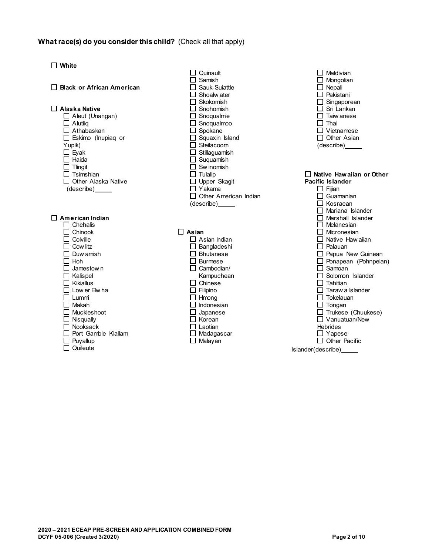#### **What race(s) do you consider this child?** (Check all that apply)

**White Black or African American Alaska Native** Aleut (Unangan) □ Alutiiq □ Athabaskan Eskimo (Inupiaq or Yupik)  $\square$  Eyak  $\Box$  Haida  $\Box$  Tlingit  $\Box$  Tsimshian □ Other Alaska Native (describe) **American Indian**  $\Box$  Chehalis  $\Box$  Chinook  $\Box$  $\Box$  Colville  $\Box$  Cow litz  $\Box$  Duw amish  $\Box$  Hoh  $\Box$  Jamestow n  $\Box$  Kalispel  $\Box$  Kikiallus  $\square$  Low er Elw ha  $\Box$  Lummi  $\Box$  Makah □ Muckleshoot  $\Box$  Nisqually Nooksack Port Gamble Klallam  $\Box$  Puyallup  $\Box$  Quileute

|                 | Quinault                                                                     |  |
|-----------------|------------------------------------------------------------------------------|--|
|                 | $\exists$ Samish                                                             |  |
|                 | ヿ Sauk-Suiattle                                                              |  |
|                 | $\exists$ Shoalw ater                                                        |  |
|                 | $\exists$ Skokomish                                                          |  |
|                 | $\sqsupset$ Snohomish                                                        |  |
|                 | $\Box$ Snoqualmie                                                            |  |
|                 | $\Box$ Snoqualmoo                                                            |  |
|                 | $\square$ Spokane                                                            |  |
|                 | $\Box$ Squaxin Island                                                        |  |
|                 | $\Box$ Steilacoom                                                            |  |
|                 | $\Box$ Stillaguamish                                                         |  |
|                 | $\Box$ Suquamish                                                             |  |
|                 | $\Box$ Sw inomish                                                            |  |
|                 | $\Box$ Tulalip                                                               |  |
|                 | $\Box$ Upper Skagit                                                          |  |
|                 | $\Box$ Yakama                                                                |  |
|                 | □ Other American Indian                                                      |  |
|                 | (describe)_____                                                              |  |
|                 |                                                                              |  |
|                 |                                                                              |  |
|                 |                                                                              |  |
| $\exists$ Asian |                                                                              |  |
|                 | $\Box$ Asian Indian                                                          |  |
|                 |                                                                              |  |
|                 | □ Bangladeshi<br>□ Bhutanese<br>□ n                                          |  |
|                 |                                                                              |  |
|                 | □ Burmese<br>□ Cambodian/                                                    |  |
|                 | Kampuchean                                                                   |  |
|                 | $\Box$ Chinese                                                               |  |
|                 |                                                                              |  |
|                 |                                                                              |  |
|                 |                                                                              |  |
|                 | □ Filipino<br>□ Hmong<br>□ Japanese<br>□ Korean<br>□ Laotian<br>□ Madagascar |  |
|                 |                                                                              |  |
|                 |                                                                              |  |
|                 |                                                                              |  |
| ⅂               |                                                                              |  |
|                 | Malayan                                                                      |  |

 $\Box$  Maldivian  $\Box$  Mongolian  $\Box$  Nepali □ Pakistani  $\Box$  Singaporean  $\overline{\Box}$  Sri Lankan  $\square$  Taiw anese  $\Box$  Thai □ Vietnamese  $\Box$  Other Asian (describe) **Native Hawaiian or Other Pacific Islander**  $\Box$  Fijian  $\overline{\Box}$  Guamanian  $\overline{\Box}$  Kosraean  $\Box$  Mariana Islander **O** Marshall Islander  $\overline{\Box}$  Melanesian  $\square$  Micronesian  $\Box$  Native Haw aiian  $\Box$  Palauan  $\Box$  Papua New Guinean  $\square$  Ponapean (Pohnpeian)  $\Box$  Samoan  $\Box$  Solomon Islander  $\Box$  Tahitian  $\Box$  Taraw a Islander  $\square$  Tokelauan  $\Box$  Tongan  $\Box$  Trukese (Chuukese) □ Vanuatuan/New Hebrides □ Yapese  $\Box$  Other Pacific Islander(describe)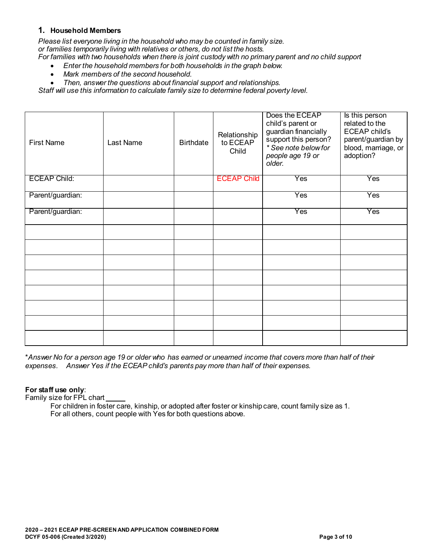### **1. Household Members**

*Please list everyone living in the household who may be counted in family size. or families temporarily living with relatives or others, do not list the hosts. For families with two households when there is joint custody with no primary parent and no child support*

- *Enter the household members for both households in the graph below.*
- *Mark members of the second household.*

• *Then, answer the questions about financial support and relationships.*

*Staff will use this information to calculate family size to determine federal poverty level.*

| <b>First Name</b>   | Last Name | <b>Birthdate</b> | Relationship<br>to ECEAP<br>Child | Does the ECEAP<br>child's parent or<br>guardian financially<br>support this person?<br>* See note below for<br>people age 19 or<br>older. | Is this person<br>related to the<br><b>ECEAP child's</b><br>parent/guardian by<br>blood, marriage, or<br>adoption? |
|---------------------|-----------|------------------|-----------------------------------|-------------------------------------------------------------------------------------------------------------------------------------------|--------------------------------------------------------------------------------------------------------------------|
| <b>ECEAP Child:</b> |           |                  | <b>ECEAP Child</b>                | Yes                                                                                                                                       | Yes                                                                                                                |
| Parent/guardian:    |           |                  |                                   | Yes                                                                                                                                       | Yes                                                                                                                |
| Parent/guardian:    |           |                  |                                   | Yes                                                                                                                                       | Yes                                                                                                                |
|                     |           |                  |                                   |                                                                                                                                           |                                                                                                                    |
|                     |           |                  |                                   |                                                                                                                                           |                                                                                                                    |
|                     |           |                  |                                   |                                                                                                                                           |                                                                                                                    |
|                     |           |                  |                                   |                                                                                                                                           |                                                                                                                    |
|                     |           |                  |                                   |                                                                                                                                           |                                                                                                                    |
|                     |           |                  |                                   |                                                                                                                                           |                                                                                                                    |
|                     |           |                  |                                   |                                                                                                                                           |                                                                                                                    |
|                     |           |                  |                                   |                                                                                                                                           |                                                                                                                    |

\**Answer No for a person age 19 or older who has earned or unearned income that covers more than half of their expenses. Answer Yes if the ECEAP child's parents pay more than half of their expenses.*

#### **For staff use only**:

Family size for FPL chart

For children in foster care, kinship, or adopted after foster or kinship care, count family size as 1. For all others, count people with Yes for both questions above.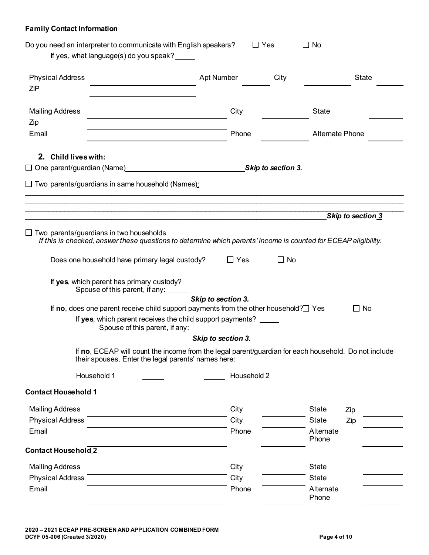## **Family Contact Information**

|                            | Do you need an interpreter to communicate with English speakers?<br>If yes, what language(s) do you speak?                                                        |                    | $\Box$ Yes | $\Box$ No              |                   |
|----------------------------|-------------------------------------------------------------------------------------------------------------------------------------------------------------------|--------------------|------------|------------------------|-------------------|
|                            |                                                                                                                                                                   |                    |            |                        |                   |
| <b>Physical Address</b>    |                                                                                                                                                                   | Apt Number         | City       |                        | <b>State</b>      |
| <b>ZIP</b>                 |                                                                                                                                                                   |                    |            |                        |                   |
| <b>Mailing Address</b>     |                                                                                                                                                                   | City               |            | <b>State</b>           |                   |
| Zip<br>Email               |                                                                                                                                                                   | Phone              |            | <b>Alternate Phone</b> |                   |
|                            |                                                                                                                                                                   |                    |            |                        |                   |
| 2. Child lives with:       |                                                                                                                                                                   |                    |            |                        |                   |
|                            |                                                                                                                                                                   |                    |            |                        |                   |
|                            | $\Box$ Two parents/guardians in same household (Names):                                                                                                           |                    |            |                        |                   |
|                            |                                                                                                                                                                   |                    |            |                        |                   |
|                            |                                                                                                                                                                   |                    |            |                        |                   |
|                            |                                                                                                                                                                   |                    |            |                        | Skip to section 3 |
|                            | $\Box$ Two parents/guardians in two households<br>If this is checked, answer these questions to determine which parents' income is counted for ECEAP eligibility. |                    |            |                        |                   |
|                            | Does one household have primary legal custody?                                                                                                                    | $\Box$ Yes         | $\Box$ No  |                        |                   |
|                            | If yes, which parent has primary custody? _____<br>Spouse of this parent, if any:                                                                                 |                    |            |                        |                   |
|                            |                                                                                                                                                                   | Skip to section 3. |            |                        |                   |
|                            | If no, does one parent receive child support payments from the other household? $\Box$ Yes<br>If yes, which parent receives the child support payments? _____     |                    |            |                        | $\Box$ No         |
|                            | Spouse of this parent, if any: _____                                                                                                                              |                    |            |                        |                   |
|                            |                                                                                                                                                                   | Skip to section 3. |            |                        |                   |
|                            | If no, ECEAP will count the income from the legal parent/guardian for each household. Do not include<br>their spouses. Enter the legal parents' names here:       |                    |            |                        |                   |
|                            | Household 1                                                                                                                                                       | Household 2        |            |                        |                   |
| <b>Contact Household 1</b> |                                                                                                                                                                   |                    |            |                        |                   |
| <b>Mailing Address</b>     |                                                                                                                                                                   | City               |            | <b>State</b>           | Zip               |
| <b>Physical Address</b>    |                                                                                                                                                                   | City               |            | <b>State</b>           | Zip               |
| Email                      |                                                                                                                                                                   | Phone              |            | Alternate<br>Phone     |                   |
| <b>Contact Household 2</b> |                                                                                                                                                                   |                    |            |                        |                   |
| <b>Mailing Address</b>     |                                                                                                                                                                   | City               |            | <b>State</b>           |                   |
| <b>Physical Address</b>    |                                                                                                                                                                   | City               |            | <b>State</b>           |                   |
| Email                      |                                                                                                                                                                   | Phone              |            | Alternate<br>Phone     |                   |
|                            |                                                                                                                                                                   |                    |            |                        |                   |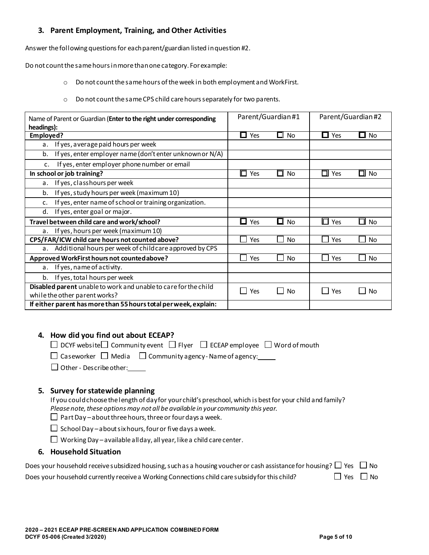## **3. Parent Employment, Training, and Other Activities**

Answer the following questions for each parent/guardian listed in question #2.

Do not count the same hours in more than one category. For example:

- o Do not count the same hours of the week in both employment and WorkFirst.
- o Do not count the same CPS child care hours separately for two parents.

| Name of Parent or Guardian (Enter to the right under corresponding                               | Parent/Guardian#1<br>Parent/Guardian#2 |                       |                     |              |
|--------------------------------------------------------------------------------------------------|----------------------------------------|-----------------------|---------------------|--------------|
| headings):<br>Employed?                                                                          | Yes<br>ப                               | םl No                 | П<br>Yes            | No<br>O      |
| If yes, average paid hours per week<br>a.                                                        |                                        |                       |                     |              |
| If yes, enter employer name (don't enter unknown or N/A)<br>b.                                   |                                        |                       |                     |              |
| If yes, enter employer phone number or email<br>c.                                               |                                        |                       |                     |              |
| In school or job training?                                                                       | IП<br>Yes                              | □ No                  | $\Box$ Yes          | $\square$ No |
| If yes, classhours per week<br>a.                                                                |                                        |                       |                     |              |
| If yes, study hours per week (maximum 10)<br>b.                                                  |                                        |                       |                     |              |
| If yes, enter name of school or training organization.<br>c.                                     |                                        |                       |                     |              |
| If yes, enter goal or major.<br>d.                                                               |                                        |                       |                     |              |
| Travel between child care and work/school?                                                       | Yes<br>I I                             | <b>No</b><br>$\sqcup$ | 0<br>Yes            | $\Box$ No    |
| If yes, hours per week (maximum 10)<br>a <sub>1</sub>                                            |                                        |                       |                     |              |
| CPS/FAR/ICW child care hours not counted above?                                                  | Yes                                    | <b>No</b>             | Yes                 | <b>No</b>    |
| Additional hours per week of child care approved by CPS<br>а.                                    |                                        |                       |                     |              |
| Approved WorkFirst hours not counted above?                                                      | Yes                                    | <b>No</b>             | Yes                 | <b>No</b>    |
| If yes, name of activity.<br>a.                                                                  |                                        |                       |                     |              |
| If yes, total hours per week<br>b.                                                               |                                        |                       |                     |              |
| Disabled parent unable to work and unable to care for the child<br>while the other parent works? | Yes<br>$\Box$                          | <b>No</b><br>- 1      | Yes<br>$\mathbf{r}$ | No           |
| If either parent has more than 55 hours total per week, explain:                                 |                                        |                       |                     |              |

## **4. How did you find out about ECEAP?**

 $\Box$  DCYF website  $\Box$  Community event  $\Box$  Flyer  $\Box$  ECEAP employee  $\Box$  Word of mouth

 $\Box$  Caseworker  $\Box$  Media  $\Box$  Community agency-Name of agency:

 $\Box$  Other - Describe other: $\Box$ 

### **5. Survey for statewide planning**

If you could choose the length of day for your child's preschool, which is best for your child and family? *Please note, these options may not all be available in your community this year.* 

 $\Box$  Part Day – about three hours, three or four days a week.

 $\Box$  School Day – about six hours, four or five days a week.

 $\Box$  Working Day – a vailable all day, all year, like a child care center.

#### **6. Household Situation**

| Does your household receive subsidized housing, such as a housing voucher or cash assistance for housing? $\Box$ Yes $\Box$ No |                      |  |
|--------------------------------------------------------------------------------------------------------------------------------|----------------------|--|
| Does your household currently receive a Working Connections child care subsidy for this child?                                 | $\Box$ Yes $\Box$ No |  |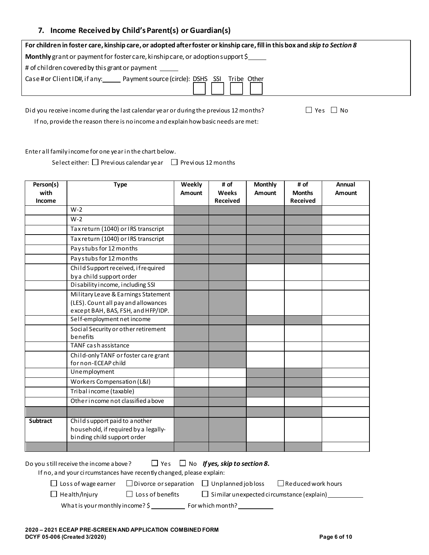#### **7. Income Received by Child's Parent(s) or Guardian(s)**

| For children in foster care, kinship care, or adopted after foster or kinship care, fill in this box and skip to Section 8 |  |
|----------------------------------------------------------------------------------------------------------------------------|--|
| Monthly grant or payment for foster care, kinship care, or adoption support \$                                             |  |
| # of children covered by this grant or payment ______                                                                      |  |
| Case# or Client ID#, if any: Payment source (circle): DSHS SSI Tribe Other                                                 |  |
|                                                                                                                            |  |

Did you receive income during the last calendar year or during the previous 12 months?  $\square$  Yes  $\square$  No

If no, provide the reason there is no income and explain how basic needs are met:

Enter all family income for one year in the chart below.

Select either:  $\Box$  Previous calendar year  $\Box$  Previous 12 months

| Person(s)<br>with<br>Income | <b>Type</b>                                                                                                      | Weekly<br>Amount | # of<br><b>Weeks</b><br><b>Received</b> | <b>Monthly</b><br>Amount | # of<br><b>Months</b><br><b>Received</b> | Annual<br>Amount |
|-----------------------------|------------------------------------------------------------------------------------------------------------------|------------------|-----------------------------------------|--------------------------|------------------------------------------|------------------|
|                             | $W-2$                                                                                                            |                  |                                         |                          |                                          |                  |
|                             | $W-2$                                                                                                            |                  |                                         |                          |                                          |                  |
|                             | Tax return (1040) or IRS transcript                                                                              |                  |                                         |                          |                                          |                  |
|                             | Tax return (1040) or IRS transcript                                                                              |                  |                                         |                          |                                          |                  |
|                             | Paystubs for 12 months                                                                                           |                  |                                         |                          |                                          |                  |
|                             | Paystubs for 12 months                                                                                           |                  |                                         |                          |                                          |                  |
|                             | Child Support received, if required<br>by a child support order                                                  |                  |                                         |                          |                                          |                  |
|                             | Disability income, including SSI                                                                                 |                  |                                         |                          |                                          |                  |
|                             | Military Leave & Earnings Statement<br>(LES). Count all pay and allowances<br>except BAH, BAS, FSH, and HFP/IDP. |                  |                                         |                          |                                          |                  |
|                             | Self-employment net income                                                                                       |                  |                                         |                          |                                          |                  |
|                             | Social Security or other retirement<br>benefits                                                                  |                  |                                         |                          |                                          |                  |
|                             | TANF cash assistance                                                                                             |                  |                                         |                          |                                          |                  |
|                             | Child-only TANF or foster care grant<br>for non-ECEAP child                                                      |                  |                                         |                          |                                          |                  |
|                             | Unemployment                                                                                                     |                  |                                         |                          |                                          |                  |
|                             | Workers Compensation (L&I)                                                                                       |                  |                                         |                          |                                          |                  |
|                             | Tribal income (taxable)                                                                                          |                  |                                         |                          |                                          |                  |
|                             | Other income not classified a bove                                                                               |                  |                                         |                          |                                          |                  |
|                             |                                                                                                                  |                  |                                         |                          |                                          |                  |
| <b>Subtract</b>             | Child support paid to a nother<br>household, if required by a legally-<br>binding child support order            |                  |                                         |                          |                                          |                  |
|                             |                                                                                                                  |                  |                                         |                          |                                          |                  |
|                             |                                                                                                                  |                  |                                         |                          |                                          |                  |

Do you still receive the income a bove?  $\Box$  Yes  $\Box$  No **If yes, skip to section 8.** 

If no, and your circumstances have recently changed, please explain:

 $\Box$  Loss of wage earner  $\Box$  Divorce or separation  $\Box$  Unplanned job loss  $\Box$  Reduced work hours

 $\Box$  Health/Injury  $\Box$  Loss of benefits  $\Box$  Similar unexpected circumstance (explain)  $\Box$ 

What is your monthly income?  $\frac{2}{5}$  For which month?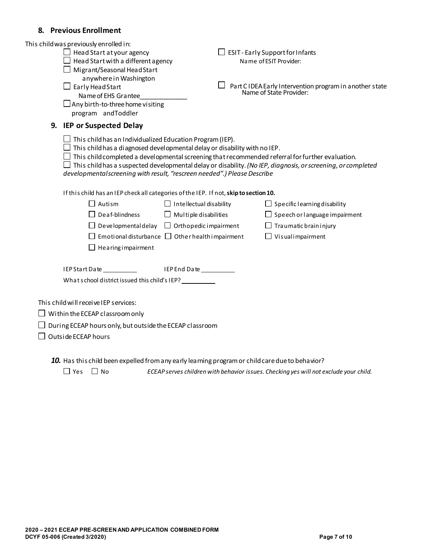### **8. Previous Enrollment**

| This child was previously enrolled in:<br>$\Box$ Head Start at your agency<br>Head Start with a different agency<br>$\Box$ Migrant/Seasonal Head Start                                                                           |                                | $\Box$ ESIT - Early Support for Infants<br>Name of ESIT Provider:                                                                                                                                                              |
|----------------------------------------------------------------------------------------------------------------------------------------------------------------------------------------------------------------------------------|--------------------------------|--------------------------------------------------------------------------------------------------------------------------------------------------------------------------------------------------------------------------------|
| anywhere in Washington<br>$\Box$ Early Head Start<br>Name of EHS Grantee<br>$\Box$ Any birth-to-three home visiting<br>program andToddler                                                                                        |                                | Part CIDEA Early Intervention program in another state<br>Name of State Provider:                                                                                                                                              |
| 9. IEP or Suspected Delay                                                                                                                                                                                                        |                                |                                                                                                                                                                                                                                |
| $\Box$ This child has an Individualized Education Program (IEP).<br>$\Box$ This child has a diagnosed developmental delay or disability with no IEP.<br>developmental screening with result, "rescreen needed".) Please Describe |                                | $\Box$ This child completed a developmental screening that recommended referral for further evaluation.<br>$\Box$ This child has a suspected developmental delay or disability. (No IEP, diagnosis, or screening, or completed |
| If this child has an IEP check all categories of the IEP. If not, skip to section 10.                                                                                                                                            |                                |                                                                                                                                                                                                                                |
| $\Box$ Autism                                                                                                                                                                                                                    | $\Box$ Intellectual disability | $\Box$ Specific learning disability                                                                                                                                                                                            |
| $\Box$ Deaf-blindness                                                                                                                                                                                                            | $\Box$ Multiple disabilities   | $\Box$ Speech or language impairment                                                                                                                                                                                           |
| $\Box$ Developmental delay $\Box$ Orthopedic impairment                                                                                                                                                                          |                                | $\Box$ Traumatic brain injury                                                                                                                                                                                                  |
| $\Box$ Emotional disturbance $\Box$ Other health impairment                                                                                                                                                                      |                                | $\Box$ Visualimpairment                                                                                                                                                                                                        |
| $\Box$ Hearing impairment                                                                                                                                                                                                        |                                |                                                                                                                                                                                                                                |
| IEP Start Date ___________                                                                                                                                                                                                       | IEP End Date                   |                                                                                                                                                                                                                                |
| What school district issued this child's IEP? __________                                                                                                                                                                         |                                |                                                                                                                                                                                                                                |
| This child will receive IEP services:                                                                                                                                                                                            |                                |                                                                                                                                                                                                                                |
| $\Box$ Within the ECEAP classroom only                                                                                                                                                                                           |                                |                                                                                                                                                                                                                                |
| $\Box$ During ECEAP hours only, but outside the ECEAP classroom                                                                                                                                                                  |                                |                                                                                                                                                                                                                                |
| Outside ECEAP hours                                                                                                                                                                                                              |                                |                                                                                                                                                                                                                                |
|                                                                                                                                                                                                                                  |                                |                                                                                                                                                                                                                                |
| 10. Has this child been expelled from any early learning program or child care due to behavior?                                                                                                                                  |                                |                                                                                                                                                                                                                                |

Yes No *ECEAP serves children with behavior issues. Checking yes will not exclude your child.*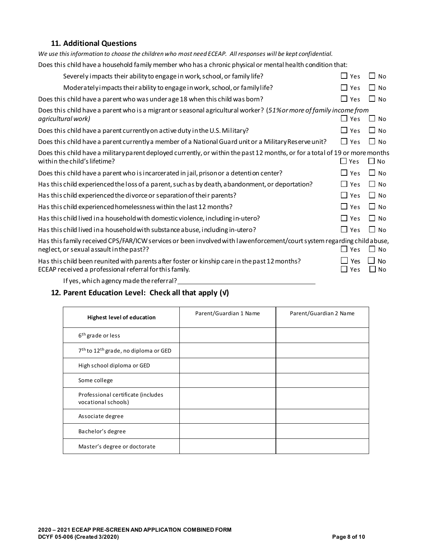## **11. Additional Questions**

| We use this information to choose the children who most need ECEAP. All responses will be kept confidential.                                                       |                     |                        |
|--------------------------------------------------------------------------------------------------------------------------------------------------------------------|---------------------|------------------------|
| Does this child have a household family member who has a chronic physical or mental health condition that:                                                         |                     |                        |
| Severely impacts their ability to engage in work, school, or family life?                                                                                          | $\Box$ Yes          | $\Box$ No              |
| Moderately impacts their a bility to engage in work, school, or family life?                                                                                       | Yes                 | ∣ No                   |
| Does this child have a parent who was under age 18 when this child was born?                                                                                       | Yes<br>$\mathsf{L}$ | l No                   |
| Does this child have a parent who is a migrant or seasonal agricultural worker? (51% or more of family income from<br>agricultural work)                           | $\Box$ Yes          | $\Box$ No              |
| Does this child have a parent currently on active duty in the U.S. Military?                                                                                       | Yes<br>$\perp$      | $\Box$ No              |
| Does this child have a parent currently a member of a National Guard unit or a Military Reserve unit?                                                              | $\Box$ Yes          | l I No                 |
| Does this child have a military parent deployed currently, or within the past 12 months, or for a total of 19 or more months<br>within the child's lifetime?       | $\Box$ Yes          | $\Box$ No              |
| Does this child have a parent who is incarcerated in jail, prison or a detention center?                                                                           | $\perp$<br>Yes      | $\Box$ No              |
| Has this child experienced the loss of a parent, such as by death, abandonment, or deportation?                                                                    | Yes<br>ΙI           | l I No                 |
| Has this child experienced the divorce or separation of their parents?                                                                                             | Yes<br>$\mathsf{L}$ | l I No                 |
| Has this child experienced homelessness within the last 12 months?                                                                                                 | Yes                 | $\Box$ No              |
| Has this child lived in a household with domestic violence, including in-utero?                                                                                    | Yes                 | $\Box$ No              |
| Has this child lived in a household with substance abuse, including in-utero?                                                                                      | $\Box$ Yes          | l I No                 |
| Has this family received CPS/FAR/ICW services or been involved with lawenforcement/court system regarding child abuse,<br>neglect, or sexual assault in the past?? | $\sqcup$ Yes        | $\Box$ No              |
| Has this child been reunited with parents after foster or kinship care in the past 12 months?<br>ECEAP received a professional referral for this family.           | Yes<br>$\Box$ Yes   | <b>No</b><br>$\Box$ No |
|                                                                                                                                                                    |                     |                        |

If yes, which agency made the referral?

## **12. Parent Education Level: Check all that apply (√)**

| <b>Highest level of education</b>                            | Parent/Guardian 1 Name | Parent/Guardian 2 Name |
|--------------------------------------------------------------|------------------------|------------------------|
| 6 <sup>th</sup> grade or less                                |                        |                        |
| 7 <sup>th</sup> to 12 <sup>th</sup> grade, no diploma or GED |                        |                        |
| High school diploma or GED                                   |                        |                        |
| Some college                                                 |                        |                        |
| Professional certificate (includes<br>vocational schools)    |                        |                        |
| Associate degree                                             |                        |                        |
| Bachelor's degree                                            |                        |                        |
| Master's degree or doctorate                                 |                        |                        |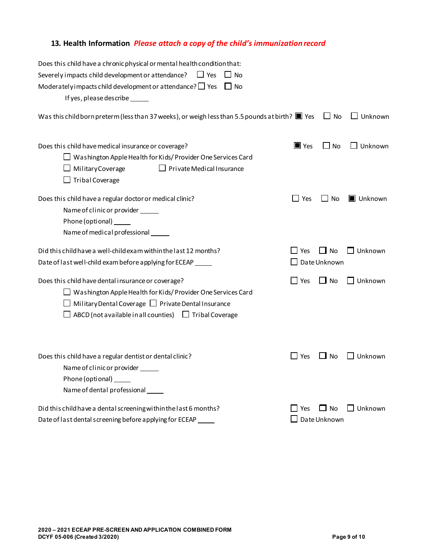## **13. Health Information** *Please attach a copy of the child's immunization record*

| Does this child have a chronic physical or mental health condition that:                                                                                                                                                                                   |                    |                                  |                   |
|------------------------------------------------------------------------------------------------------------------------------------------------------------------------------------------------------------------------------------------------------------|--------------------|----------------------------------|-------------------|
| Severely impacts child development or attendance?<br>$\Box$ Yes<br>$\Box$ No                                                                                                                                                                               |                    |                                  |                   |
| Moderately impacts child development or attendance? $\Box$ Yes<br>$\Box$ No                                                                                                                                                                                |                    |                                  |                   |
| If yes, please describe ______                                                                                                                                                                                                                             |                    |                                  |                   |
| Was this child born preterm (less than 37 weeks), or weigh less than 5.5 pounds at birth? $\blacksquare$ Yes                                                                                                                                               |                    | $\Box$ No                        | $\Box$ Unknown    |
| Does this child have medical insurance or coverage?<br>$\Box$ Washington Apple Health for Kids/Provider One Services Card<br>$\Box$ Military Coverage<br>$\Box$ Private Medical Insurance<br>Tribal Coverage                                               | $\blacksquare$ Yes | $\Box$ No                        | $\Box$ Unknown    |
| Does this child have a regular doctor or medical clinic?<br>Name of clinic or provider ______<br>Phone (optional)<br>Name of medical professional                                                                                                          | $\Box$ Yes         | $\Box$ No                        | Unknown           |
| Did this child have a well-child exam within the last 12 months?<br>Date of last well-child exam before applying for ECEAP _____                                                                                                                           | $\Box$ Yes         | $\Box$ No<br>$\Box$ Date Unknown | $\square$ Unknown |
| Does this child have dental insurance or coverage?<br>$\Box$ Washington Apple Health for Kids/Provider One Services Card<br>$\Box$ Military Dental Coverage $\Box$ Private Dental Insurance<br>ABCD (not available in all counties) $\Box$ Tribal Coverage | $\Box$ Yes         | $\Box$ No                        | $\Box$ Unknown    |
| Does this child have a regular dentist or dental clinic?<br>Name of clinic or provider ______<br>Phone (optional) _____<br>Name of dental professional                                                                                                     | $\Box$ Yes         | $\Box$ No                        | $\Box$ Unknown    |
| Did this child have a dental screening within the last 6 months?<br>Date of last dental screening before applying for ECEAP                                                                                                                                | l Yes              | $\Box$ No<br>Date Unknown        | $\square$ Unknown |